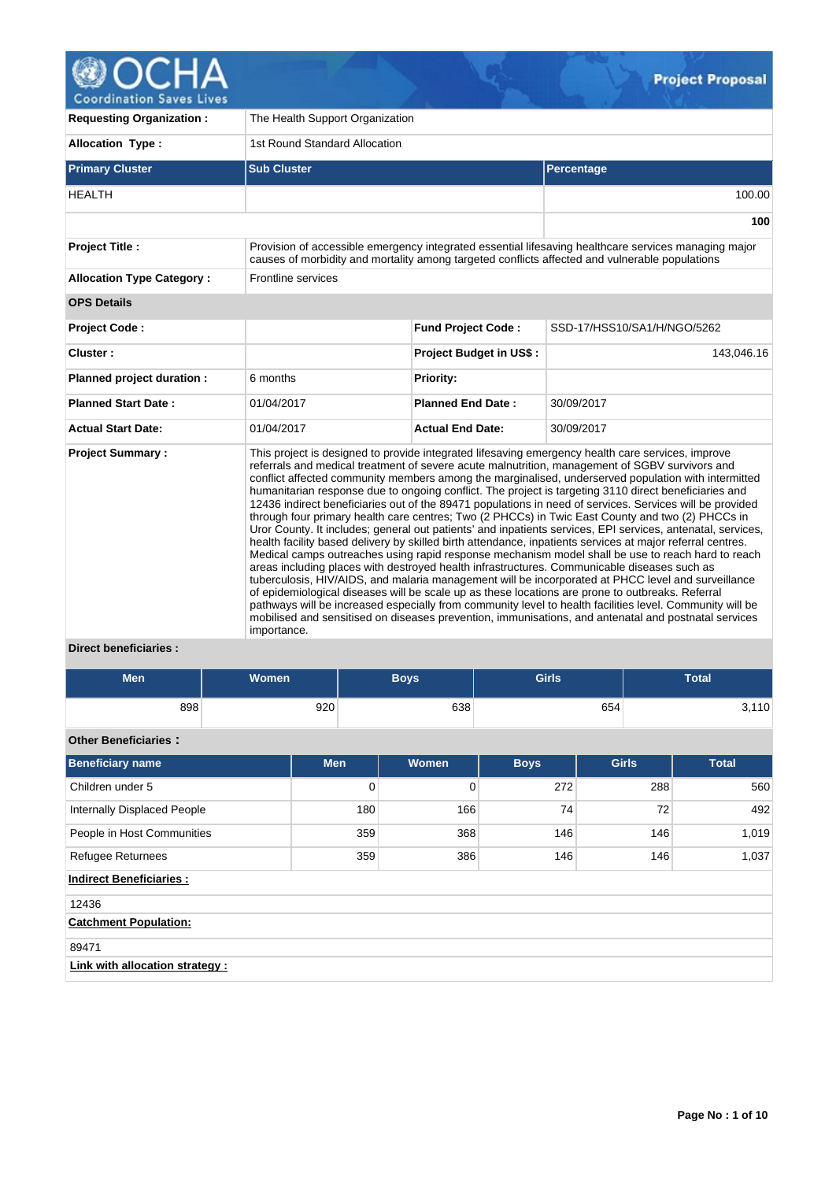

| <b>Requesting Organization:</b>  | The Health Support Organization |                                |                                                                                                                                                                                                                                                                                                                                                                                                                                                                                                                                                                                                                                                                                                                                                                                                                                                                                                                                                                                                                                                                                                                                                                                                                                                                                                                                                                                                                                                                                                    |
|----------------------------------|---------------------------------|--------------------------------|----------------------------------------------------------------------------------------------------------------------------------------------------------------------------------------------------------------------------------------------------------------------------------------------------------------------------------------------------------------------------------------------------------------------------------------------------------------------------------------------------------------------------------------------------------------------------------------------------------------------------------------------------------------------------------------------------------------------------------------------------------------------------------------------------------------------------------------------------------------------------------------------------------------------------------------------------------------------------------------------------------------------------------------------------------------------------------------------------------------------------------------------------------------------------------------------------------------------------------------------------------------------------------------------------------------------------------------------------------------------------------------------------------------------------------------------------------------------------------------------------|
| <b>Allocation Type:</b>          | 1st Round Standard Allocation   |                                |                                                                                                                                                                                                                                                                                                                                                                                                                                                                                                                                                                                                                                                                                                                                                                                                                                                                                                                                                                                                                                                                                                                                                                                                                                                                                                                                                                                                                                                                                                    |
| <b>Primary Cluster</b>           | <b>Sub Cluster</b>              |                                | Percentage                                                                                                                                                                                                                                                                                                                                                                                                                                                                                                                                                                                                                                                                                                                                                                                                                                                                                                                                                                                                                                                                                                                                                                                                                                                                                                                                                                                                                                                                                         |
| <b>HEALTH</b>                    |                                 |                                | 100.00                                                                                                                                                                                                                                                                                                                                                                                                                                                                                                                                                                                                                                                                                                                                                                                                                                                                                                                                                                                                                                                                                                                                                                                                                                                                                                                                                                                                                                                                                             |
|                                  |                                 |                                | 100                                                                                                                                                                                                                                                                                                                                                                                                                                                                                                                                                                                                                                                                                                                                                                                                                                                                                                                                                                                                                                                                                                                                                                                                                                                                                                                                                                                                                                                                                                |
| <b>Project Title:</b>            |                                 |                                | Provision of accessible emergency integrated essential lifesaving healthcare services managing major<br>causes of morbidity and mortality among targeted conflicts affected and vulnerable populations                                                                                                                                                                                                                                                                                                                                                                                                                                                                                                                                                                                                                                                                                                                                                                                                                                                                                                                                                                                                                                                                                                                                                                                                                                                                                             |
| <b>Allocation Type Category:</b> | Frontline services              |                                |                                                                                                                                                                                                                                                                                                                                                                                                                                                                                                                                                                                                                                                                                                                                                                                                                                                                                                                                                                                                                                                                                                                                                                                                                                                                                                                                                                                                                                                                                                    |
| <b>OPS Details</b>               |                                 |                                |                                                                                                                                                                                                                                                                                                                                                                                                                                                                                                                                                                                                                                                                                                                                                                                                                                                                                                                                                                                                                                                                                                                                                                                                                                                                                                                                                                                                                                                                                                    |
| <b>Project Code:</b>             |                                 | <b>Fund Project Code:</b>      | SSD-17/HSS10/SA1/H/NGO/5262                                                                                                                                                                                                                                                                                                                                                                                                                                                                                                                                                                                                                                                                                                                                                                                                                                                                                                                                                                                                                                                                                                                                                                                                                                                                                                                                                                                                                                                                        |
| Cluster:                         |                                 | <b>Project Budget in US\$:</b> | 143,046.16                                                                                                                                                                                                                                                                                                                                                                                                                                                                                                                                                                                                                                                                                                                                                                                                                                                                                                                                                                                                                                                                                                                                                                                                                                                                                                                                                                                                                                                                                         |
| Planned project duration :       | 6 months                        | Priority:                      |                                                                                                                                                                                                                                                                                                                                                                                                                                                                                                                                                                                                                                                                                                                                                                                                                                                                                                                                                                                                                                                                                                                                                                                                                                                                                                                                                                                                                                                                                                    |
| <b>Planned Start Date:</b>       | 01/04/2017                      | <b>Planned End Date:</b>       | 30/09/2017                                                                                                                                                                                                                                                                                                                                                                                                                                                                                                                                                                                                                                                                                                                                                                                                                                                                                                                                                                                                                                                                                                                                                                                                                                                                                                                                                                                                                                                                                         |
| <b>Actual Start Date:</b>        | 01/04/2017                      | <b>Actual End Date:</b>        | 30/09/2017                                                                                                                                                                                                                                                                                                                                                                                                                                                                                                                                                                                                                                                                                                                                                                                                                                                                                                                                                                                                                                                                                                                                                                                                                                                                                                                                                                                                                                                                                         |
| <b>Project Summary:</b>          | importance.                     |                                | This project is designed to provide integrated lifesaving emergency health care services, improve<br>referrals and medical treatment of severe acute malnutrition, management of SGBV survivors and<br>conflict affected community members among the marginalised, underserved population with intermitted<br>humanitarian response due to ongoing conflict. The project is targeting 3110 direct beneficiaries and<br>12436 indirect beneficiaries out of the 89471 populations in need of services. Services will be provided<br>through four primary health care centres; Two (2 PHCCs) in Twic East County and two (2) PHCCs in<br>Uror County. It includes; general out patients' and inpatients services, EPI services, antenatal, services,<br>health facility based delivery by skilled birth attendance, inpatients services at major referral centres.<br>Medical camps outreaches using rapid response mechanism model shall be use to reach hard to reach<br>areas including places with destroyed health infrastructures. Communicable diseases such as<br>tuberculosis, HIV/AIDS, and malaria management will be incorporated at PHCC level and surveillance<br>of epidemiological diseases will be scale up as these locations are prone to outbreaks. Referral<br>pathways will be increased especially from community level to health facilities level. Community will be<br>mobilised and sensitised on diseases prevention, immunisations, and antenatal and postnatal services |

 $Q_{\tau}$ 

# **Direct beneficiaries :**

| <b>Men</b>                                       | Women | <b>Boys</b> | <b>Girls</b> | Total |
|--------------------------------------------------|-------|-------------|--------------|-------|
| 898                                              | 920   | 638         | 654          | 3,110 |
| $\sim$ $\sim$ $\sim$ $\sim$ $\sim$ $\sim$ $\sim$ |       |             |              |       |

# **Other Beneficiaries :**

| <b>Beneficiary name</b>            | <b>Men</b> | Women | <b>Boys</b> | <b>Girls</b> | <b>Total</b> |
|------------------------------------|------------|-------|-------------|--------------|--------------|
| Children under 5                   | 0          | 0     | 272         | 288          | 560          |
| <b>Internally Displaced People</b> | 180        | 166   | 74          | 72           | 492          |
| People in Host Communities         | 359        | 368   | 146         | 146          | 1,019        |
| <b>Refugee Returnees</b>           | 359        | 386   | 146         | 146          | 1,037        |
| <b>Indirect Beneficiaries:</b>     |            |       |             |              |              |
| 12436                              |            |       |             |              |              |
| <b>Catchment Population:</b>       |            |       |             |              |              |
| 89471                              |            |       |             |              |              |
| Link with allocation strategy :    |            |       |             |              |              |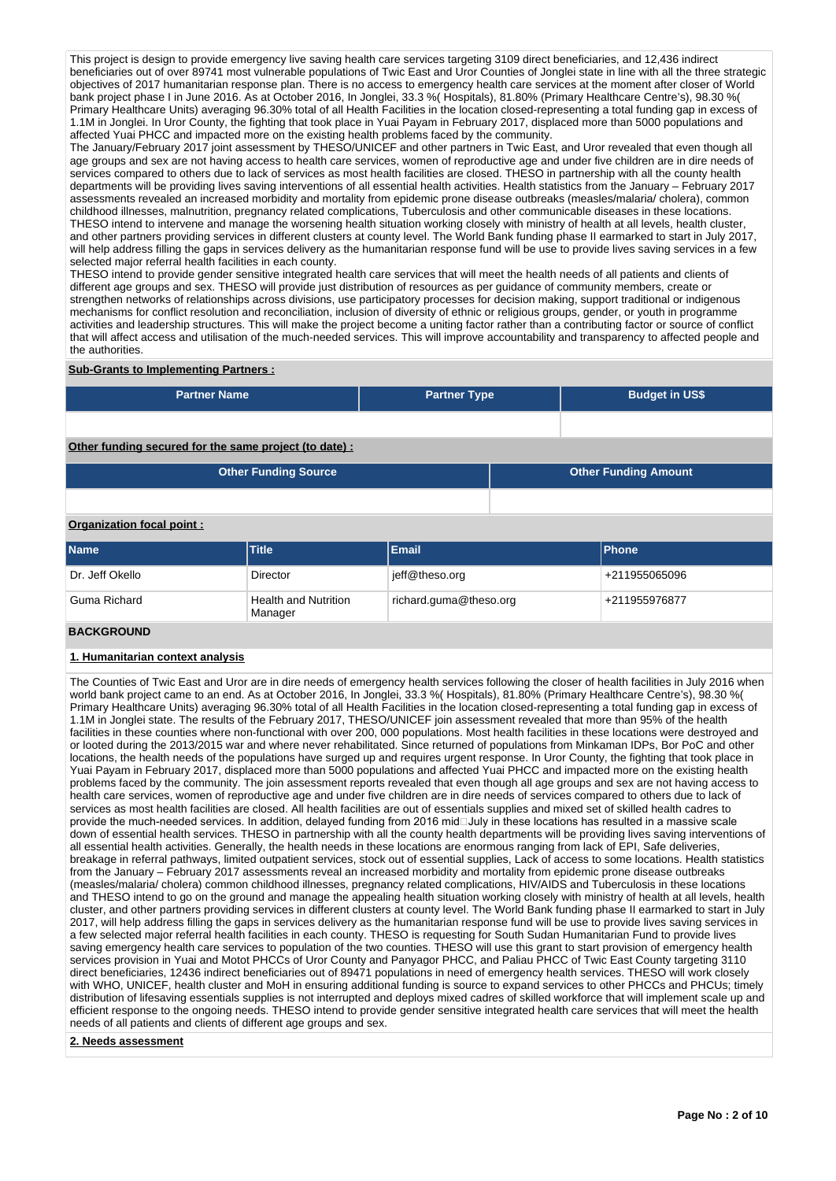This project is design to provide emergency live saving health care services targeting 3109 direct beneficiaries, and 12,436 indirect beneficiaries out of over 89741 most vulnerable populations of Twic East and Uror Counties of Jonglei state in line with all the three strategic objectives of 2017 humanitarian response plan. There is no access to emergency health care services at the moment after closer of World bank project phase I in June 2016. As at October 2016, In Jonglei, 33.3 %( Hospitals), 81.80% (Primary Healthcare Centre's), 98.30 %( Primary Healthcare Units) averaging 96.30% total of all Health Facilities in the location closed-representing a total funding gap in excess of 1.1M in Jonglei. In Uror County, the fighting that took place in Yuai Payam in February 2017, displaced more than 5000 populations and affected Yuai PHCC and impacted more on the existing health problems faced by the community.

The January/February 2017 joint assessment by THESO/UNICEF and other partners in Twic East, and Uror revealed that even though all age groups and sex are not having access to health care services, women of reproductive age and under five children are in dire needs of services compared to others due to lack of services as most health facilities are closed. THESO in partnership with all the county health departments will be providing lives saving interventions of all essential health activities. Health statistics from the January – February 2017 assessments revealed an increased morbidity and mortality from epidemic prone disease outbreaks (measles/malaria/ cholera), common childhood illnesses, malnutrition, pregnancy related complications, Tuberculosis and other communicable diseases in these locations. THESO intend to intervene and manage the worsening health situation working closely with ministry of health at all levels, health cluster, and other partners providing services in different clusters at county level. The World Bank funding phase II earmarked to start in July 2017, will help address filling the gaps in services delivery as the humanitarian response fund will be use to provide lives saving services in a few selected major referral health facilities in each county.

THESO intend to provide gender sensitive integrated health care services that will meet the health needs of all patients and clients of different age groups and sex. THESO will provide just distribution of resources as per guidance of community members, create or strengthen networks of relationships across divisions, use participatory processes for decision making, support traditional or indigenous mechanisms for conflict resolution and reconciliation, inclusion of diversity of ethnic or religious groups, gender, or youth in programme activities and leadership structures. This will make the project become a uniting factor rather than a contributing factor or source of conflict that will affect access and utilisation of the much-needed services. This will improve accountability and transparency to affected people and the authorities.

### **Sub-Grants to Implementing Partners :**

| <b>Partner Name</b>                                   | <b>Partner Type</b> | <b>Budget in US\$</b>       |
|-------------------------------------------------------|---------------------|-----------------------------|
|                                                       |                     |                             |
| Other funding secured for the same project (to date): |                     |                             |
| <b>Other Funding Source</b>                           |                     | <b>Other Funding Amount</b> |

# **Organization focal point :**

| <b>Name</b>     | <b>Title</b>                           | <b>Email</b>           | <b>Phone</b>  |
|-----------------|----------------------------------------|------------------------|---------------|
| Dr. Jeff Okello | Director                               | jeff@theso.org         | +211955065096 |
| Guma Richard    | <b>Health and Nutrition</b><br>Manager | richard.guma@theso.org | +211955976877 |
|                 |                                        |                        |               |

#### **BACKGROUND**

#### **1. Humanitarian context analysis**

The Counties of Twic East and Uror are in dire needs of emergency health services following the closer of health facilities in July 2016 when world bank project came to an end. As at October 2016, In Jonglei, 33.3 %( Hospitals), 81.80% (Primary Healthcare Centre's), 98.30 %( Primary Healthcare Units) averaging 96.30% total of all Health Facilities in the location closed-representing a total funding gap in excess of 1.1M in Jonglei state. The results of the February 2017, THESO/UNICEF join assessment revealed that more than 95% of the health facilities in these counties where non-functional with over 200, 000 populations. Most health facilities in these locations were destroyed and or looted during the 2013/2015 war and where never rehabilitated. Since returned of populations from Minkaman IDPs, Bor PoC and other locations, the health needs of the populations have surged up and requires urgent response. In Uror County, the fighting that took place in Yuai Payam in February 2017, displaced more than 5000 populations and affected Yuai PHCC and impacted more on the existing health problems faced by the community. The join assessment reports revealed that even though all age groups and sex are not having access to health care services, women of reproductive age and under five children are in dire needs of services compared to others due to lack of services as most health facilities are closed. All health facilities are out of essentials supplies and mixed set of skilled health cadres to provide the much-needed services. In addition, delayed funding from 2016 midaluly in these locations has resulted in a massive scale down of essential health services. THESO in partnership with all the county health departments will be providing lives saving interventions of all essential health activities. Generally, the health needs in these locations are enormous ranging from lack of EPI, Safe deliveries, breakage in referral pathways, limited outpatient services, stock out of essential supplies, Lack of access to some locations. Health statistics from the January – February 2017 assessments reveal an increased morbidity and mortality from epidemic prone disease outbreaks (measles/malaria/ cholera) common childhood illnesses, pregnancy related complications, HIV/AIDS and Tuberculosis in these locations and THESO intend to go on the ground and manage the appealing health situation working closely with ministry of health at all levels, health cluster, and other partners providing services in different clusters at county level. The World Bank funding phase II earmarked to start in July 2017, will help address filling the gaps in services delivery as the humanitarian response fund will be use to provide lives saving services in a few selected major referral health facilities in each county. THESO is requesting for South Sudan Humanitarian Fund to provide lives saving emergency health care services to population of the two counties. THESO will use this grant to start provision of emergency health services provision in Yuai and Motot PHCCs of Uror County and Panyagor PHCC, and Paliau PHCC of Twic East County targeting 3110 direct beneficiaries, 12436 indirect beneficiaries out of 89471 populations in need of emergency health services. THESO will work closely with WHO, UNICEF, health cluster and MoH in ensuring additional funding is source to expand services to other PHCCs and PHCUs; timely distribution of lifesaving essentials supplies is not interrupted and deploys mixed cadres of skilled workforce that will implement scale up and efficient response to the ongoing needs. THESO intend to provide gender sensitive integrated health care services that will meet the health needs of all patients and clients of different age groups and sex.

#### **2. Needs assessment**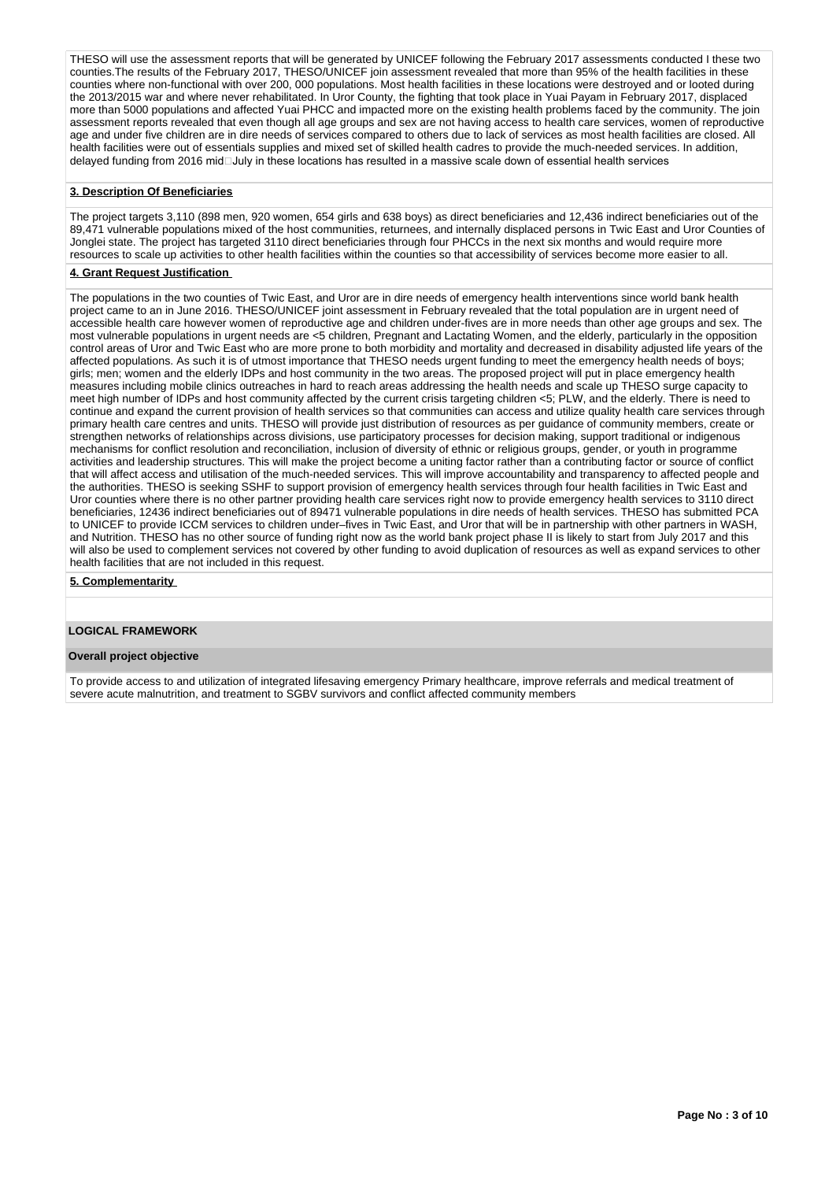THESO will use the assessment reports that will be generated by UNICEF following the February 2017 assessments conducted I these two counties.The results of the February 2017, THESO/UNICEF join assessment revealed that more than 95% of the health facilities in these counties where non-functional with over 200, 000 populations. Most health facilities in these locations were destroyed and or looted during the 2013/2015 war and where never rehabilitated. In Uror County, the fighting that took place in Yuai Payam in February 2017, displaced more than 5000 populations and affected Yuai PHCC and impacted more on the existing health problems faced by the community. The join assessment reports revealed that even though all age groups and sex are not having access to health care services, women of reproductive age and under five children are in dire needs of services compared to others due to lack of services as most health facilities are closed. All health facilities were out of essentials supplies and mixed set of skilled health cadres to provide the much-needed services. In addition, delayed funding from 2016 mid $\Box$ July in these locations has resulted in a massive scale down of essential health services

#### **3. Description Of Beneficiaries**

The project targets 3,110 (898 men, 920 women, 654 girls and 638 boys) as direct beneficiaries and 12,436 indirect beneficiaries out of the 89,471 vulnerable populations mixed of the host communities, returnees, and internally displaced persons in Twic East and Uror Counties of Jonglei state. The project has targeted 3110 direct beneficiaries through four PHCCs in the next six months and would require more resources to scale up activities to other health facilities within the counties so that accessibility of services become more easier to all.

### **4. Grant Request Justification**

The populations in the two counties of Twic East, and Uror are in dire needs of emergency health interventions since world bank health project came to an in June 2016. THESO/UNICEF joint assessment in February revealed that the total population are in urgent need of accessible health care however women of reproductive age and children under-fives are in more needs than other age groups and sex. The most vulnerable populations in urgent needs are <5 children, Pregnant and Lactating Women, and the elderly, particularly in the opposition control areas of Uror and Twic East who are more prone to both morbidity and mortality and decreased in disability adjusted life years of the affected populations. As such it is of utmost importance that THESO needs urgent funding to meet the emergency health needs of boys; girls; men; women and the elderly IDPs and host community in the two areas. The proposed project will put in place emergency health measures including mobile clinics outreaches in hard to reach areas addressing the health needs and scale up THESO surge capacity to meet high number of IDPs and host community affected by the current crisis targeting children <5; PLW, and the elderly. There is need to continue and expand the current provision of health services so that communities can access and utilize quality health care services through primary health care centres and units. THESO will provide just distribution of resources as per quidance of community members, create or strengthen networks of relationships across divisions, use participatory processes for decision making, support traditional or indigenous mechanisms for conflict resolution and reconciliation, inclusion of diversity of ethnic or religious groups, gender, or youth in programme activities and leadership structures. This will make the project become a uniting factor rather than a contributing factor or source of conflict that will affect access and utilisation of the much-needed services. This will improve accountability and transparency to affected people and the authorities. THESO is seeking SSHF to support provision of emergency health services through four health facilities in Twic East and Uror counties where there is no other partner providing health care services right now to provide emergency health services to 3110 direct beneficiaries, 12436 indirect beneficiaries out of 89471 vulnerable populations in dire needs of health services. THESO has submitted PCA to UNICEF to provide ICCM services to children under–fives in Twic East, and Uror that will be in partnership with other partners in WASH, and Nutrition. THESO has no other source of funding right now as the world bank project phase II is likely to start from July 2017 and this will also be used to complement services not covered by other funding to avoid duplication of resources as well as expand services to other health facilities that are not included in this request.

#### **5. Complementarity**

# **LOGICAL FRAMEWORK**

#### **Overall project objective**

To provide access to and utilization of integrated lifesaving emergency Primary healthcare, improve referrals and medical treatment of severe acute malnutrition, and treatment to SGBV survivors and conflict affected community members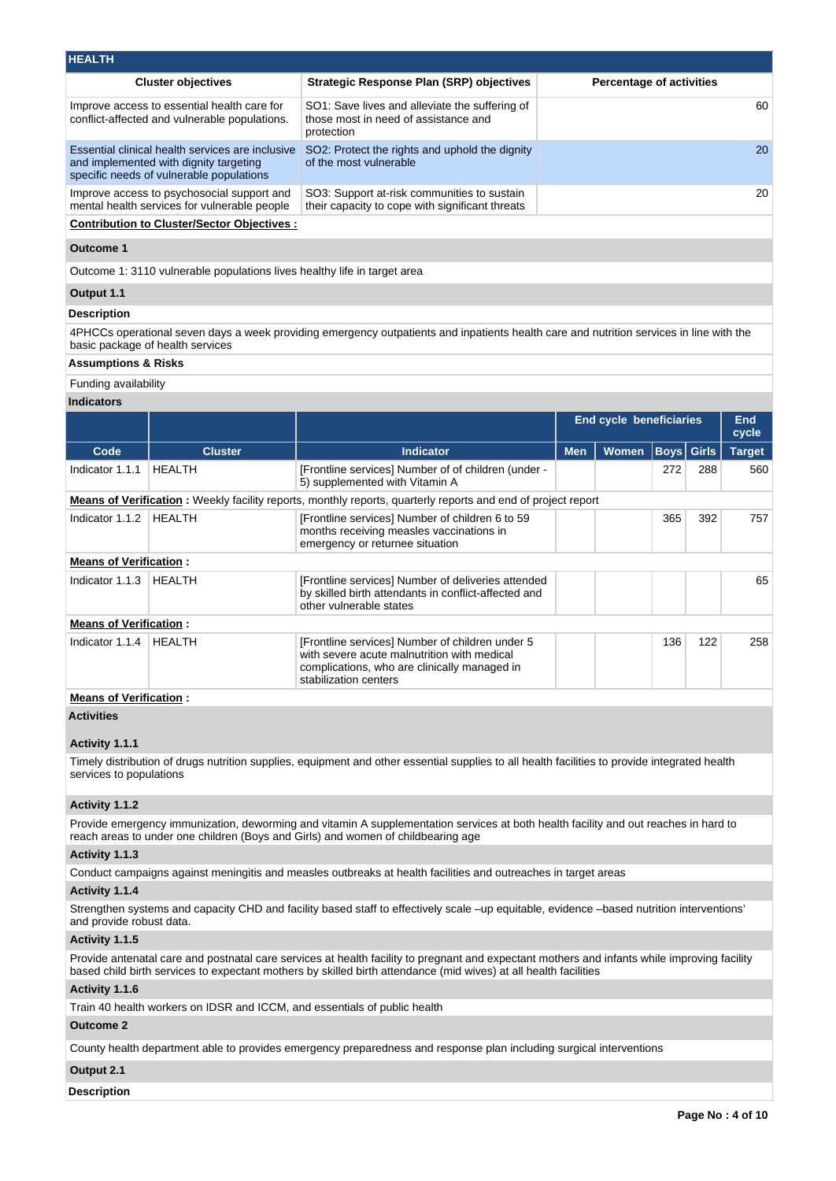| <b>HEALTH</b>                                                                                                                          |                                                                                                      |                                 |
|----------------------------------------------------------------------------------------------------------------------------------------|------------------------------------------------------------------------------------------------------|---------------------------------|
| <b>Cluster objectives</b>                                                                                                              | Strategic Response Plan (SRP) objectives                                                             | <b>Percentage of activities</b> |
| Improve access to essential health care for<br>conflict-affected and vulnerable populations.                                           | SO1: Save lives and alleviate the suffering of<br>those most in need of assistance and<br>protection | 60                              |
| Essential clinical health services are inclusive<br>and implemented with dignity targeting<br>specific needs of vulnerable populations | SO2: Protect the rights and uphold the dignity<br>of the most vulnerable                             | <b>20</b>                       |
| Improve access to psychosocial support and<br>mental health services for vulnerable people                                             | SO3: Support at-risk communities to sustain<br>their capacity to cope with significant threats       | 20                              |
| <b>Contribution to Cluster/Sector Objectives:</b>                                                                                      |                                                                                                      |                                 |

#### **Outcome 1**

Outcome 1: 3110 vulnerable populations lives healthy life in target area

# **Output 1.1**

# **Description**

4PHCCs operational seven days a week providing emergency outpatients and inpatients health care and nutrition services in line with the basic package of health services

# **Assumptions & Risks**

Funding availability

### **Indicators**

| <b>Cluster</b> | <b>Indicator</b><br>[Frontline services] Number of of children (under -<br>5) supplemented with Vitamin A                                                               | <b>Men</b> | <b>Women</b> | <b>Boys</b> Girls                                                                                                    |     | <b>Target</b> |
|----------------|-------------------------------------------------------------------------------------------------------------------------------------------------------------------------|------------|--------------|----------------------------------------------------------------------------------------------------------------------|-----|---------------|
|                |                                                                                                                                                                         |            |              |                                                                                                                      |     |               |
|                |                                                                                                                                                                         |            |              | 272                                                                                                                  | 288 | 560           |
|                |                                                                                                                                                                         |            |              |                                                                                                                      |     |               |
|                | [Frontline services] Number of children 6 to 59<br>months receiving measles vaccinations in<br>emergency or returnee situation                                          |            |              | 365                                                                                                                  | 392 | 757           |
|                |                                                                                                                                                                         |            |              |                                                                                                                      |     |               |
|                | [Frontline services] Number of deliveries attended<br>by skilled birth attendants in conflict-affected and<br>other vulnerable states                                   |            |              |                                                                                                                      |     | 65            |
|                |                                                                                                                                                                         |            |              |                                                                                                                      |     |               |
|                | [Frontline services] Number of children under 5<br>with severe acute malnutrition with medical<br>complications, who are clinically managed in<br>stabilization centers |            |              | 136                                                                                                                  | 122 | 258           |
|                |                                                                                                                                                                         |            |              | <b>Means of Verification</b> : Weekly facility reports, monthly reports, quarterly reports and end of project report |     |               |

# **Means of Verification :**

# **Activities**

### **Activity 1.1.1**

Timely distribution of drugs nutrition supplies, equipment and other essential supplies to all health facilities to provide integrated health services to populations

### **Activity 1.1.2**

Provide emergency immunization, deworming and vitamin A supplementation services at both health facility and out reaches in hard to reach areas to under one children (Boys and Girls) and women of childbearing age

# **Activity 1.1.3**

Conduct campaigns against meningitis and measles outbreaks at health facilities and outreaches in target areas

# **Activity 1.1.4**

Strengthen systems and capacity CHD and facility based staff to effectively scale –up equitable, evidence –based nutrition interventions' and provide robust data.

### **Activity 1.1.5**

Provide antenatal care and postnatal care services at health facility to pregnant and expectant mothers and infants while improving facility based child birth services to expectant mothers by skilled birth attendance (mid wives) at all health facilities

### **Activity 1.1.6**

Train 40 health workers on IDSR and ICCM, and essentials of public health

# **Outcome 2**

County health department able to provides emergency preparedness and response plan including surgical interventions

# **Output 2.1**

**Description**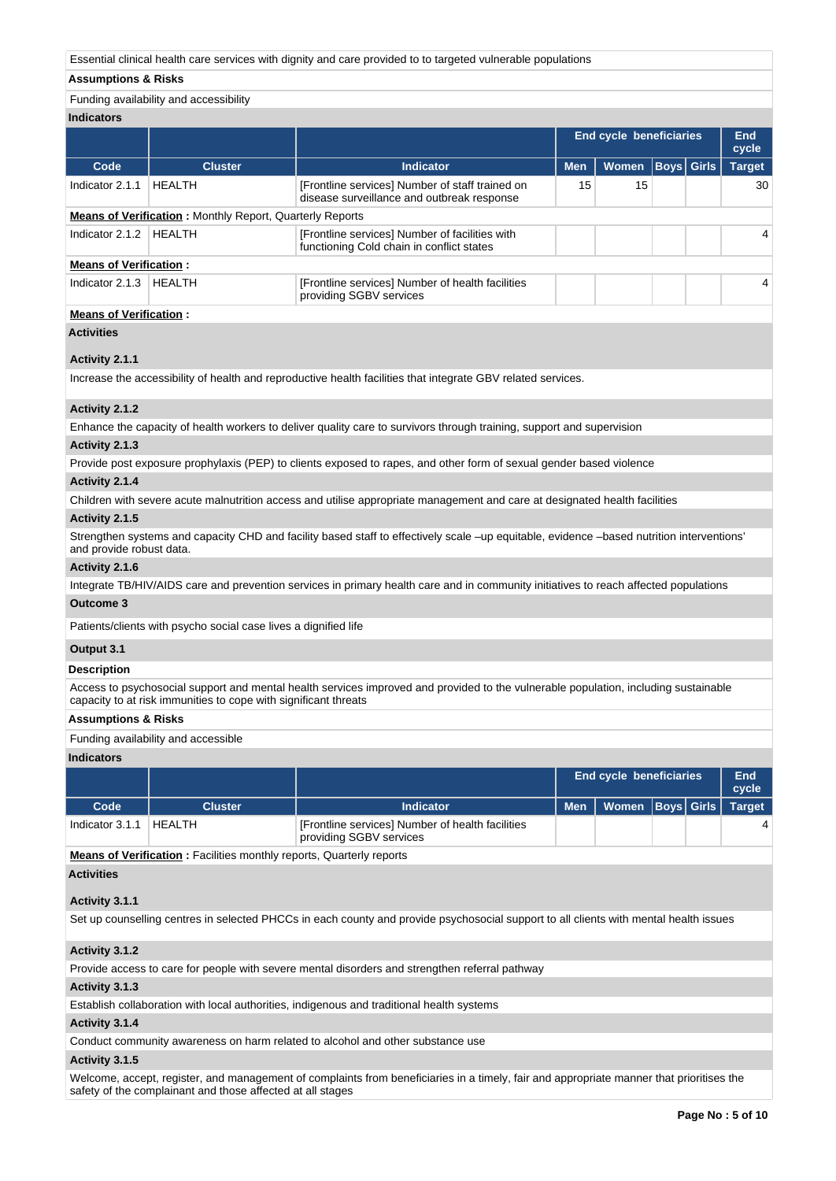Essential clinical health care services with dignity and care provided to to targeted vulnerable populations

# **Assumptions & Risks**

# Funding availability and accessibility

| <b>Indicators</b>             |                                                                 |                                                                                               |                                                                                              |  |                   |               |  |  |
|-------------------------------|-----------------------------------------------------------------|-----------------------------------------------------------------------------------------------|----------------------------------------------------------------------------------------------|--|-------------------|---------------|--|--|
|                               |                                                                 |                                                                                               | <b>End cycle beneficiaries</b><br><b>Men</b><br><b>Women</b><br><b>Indicator</b><br>15<br>15 |  |                   | End<br>cycle  |  |  |
| Code                          | <b>Cluster</b>                                                  |                                                                                               |                                                                                              |  | <b>Boys</b> Girls | <b>Target</b> |  |  |
| Indicator 2.1.1               | <b>HEALTH</b>                                                   | [Frontline services] Number of staff trained on<br>disease surveillance and outbreak response |                                                                                              |  |                   | 30            |  |  |
|                               | <b>Means of Verification:</b> Monthly Report, Quarterly Reports |                                                                                               |                                                                                              |  |                   |               |  |  |
| Indicator 2.1.2               | HEALTH                                                          | [Frontline services] Number of facilities with<br>functioning Cold chain in conflict states   |                                                                                              |  |                   | 4             |  |  |
| <b>Means of Verification:</b> |                                                                 |                                                                                               |                                                                                              |  |                   |               |  |  |
| Indicator 2.1.3               | HEALTH                                                          | [Frontline services] Number of health facilities<br>providing SGBV services                   |                                                                                              |  |                   | 4             |  |  |

# **Means of Verification :**

# **Activities**

# **Activity 2.1.1**

Increase the accessibility of health and reproductive health facilities that integrate GBV related services.

### **Activity 2.1.2**

Enhance the capacity of health workers to deliver quality care to survivors through training, support and supervision

# **Activity 2.1.3**

Provide post exposure prophylaxis (PEP) to clients exposed to rapes, and other form of sexual gender based violence

### **Activity 2.1.4**

Children with severe acute malnutrition access and utilise appropriate management and care at designated health facilities

#### **Activity 2.1.5**

Strengthen systems and capacity CHD and facility based staff to effectively scale –up equitable, evidence –based nutrition interventions' and provide robust data.

#### **Activity 2.1.6**

Integrate TB/HIV/AIDS care and prevention services in primary health care and in community initiatives to reach affected populations

### **Outcome 3**

Patients/clients with psycho social case lives a dignified life

#### **Output 3.1**

### **Description**

Access to psychosocial support and mental health services improved and provided to the vulnerable population, including sustainable capacity to at risk immunities to cope with significant threats

#### **Assumptions & Risks**

#### Funding availability and accessible

#### **Indicators**

|                 |         |                                                                             | <b>End cycle beneficiaries</b> |  |  |               |
|-----------------|---------|-----------------------------------------------------------------------------|--------------------------------|--|--|---------------|
| Code            | Cluster | Indicator                                                                   | Men   Women   Boys   Girls   \ |  |  | <b>Target</b> |
| Indicator 3.1.1 | HEALTH  | [Frontline services] Number of health facilities<br>providing SGBV services |                                |  |  |               |

**Means of Verification :** Facilities monthly reports, Quarterly reports

# **Activities**

# **Activity 3.1.1**

Set up counselling centres in selected PHCCs in each county and provide psychosocial support to all clients with mental health issues

# **Activity 3.1.2**

Provide access to care for people with severe mental disorders and strengthen referral pathway

# **Activity 3.1.3**

Establish collaboration with local authorities, indigenous and traditional health systems

# **Activity 3.1.4**

Conduct community awareness on harm related to alcohol and other substance use

# **Activity 3.1.5**

Welcome, accept, register, and management of complaints from beneficiaries in a timely, fair and appropriate manner that prioritises the safety of the complainant and those affected at all stages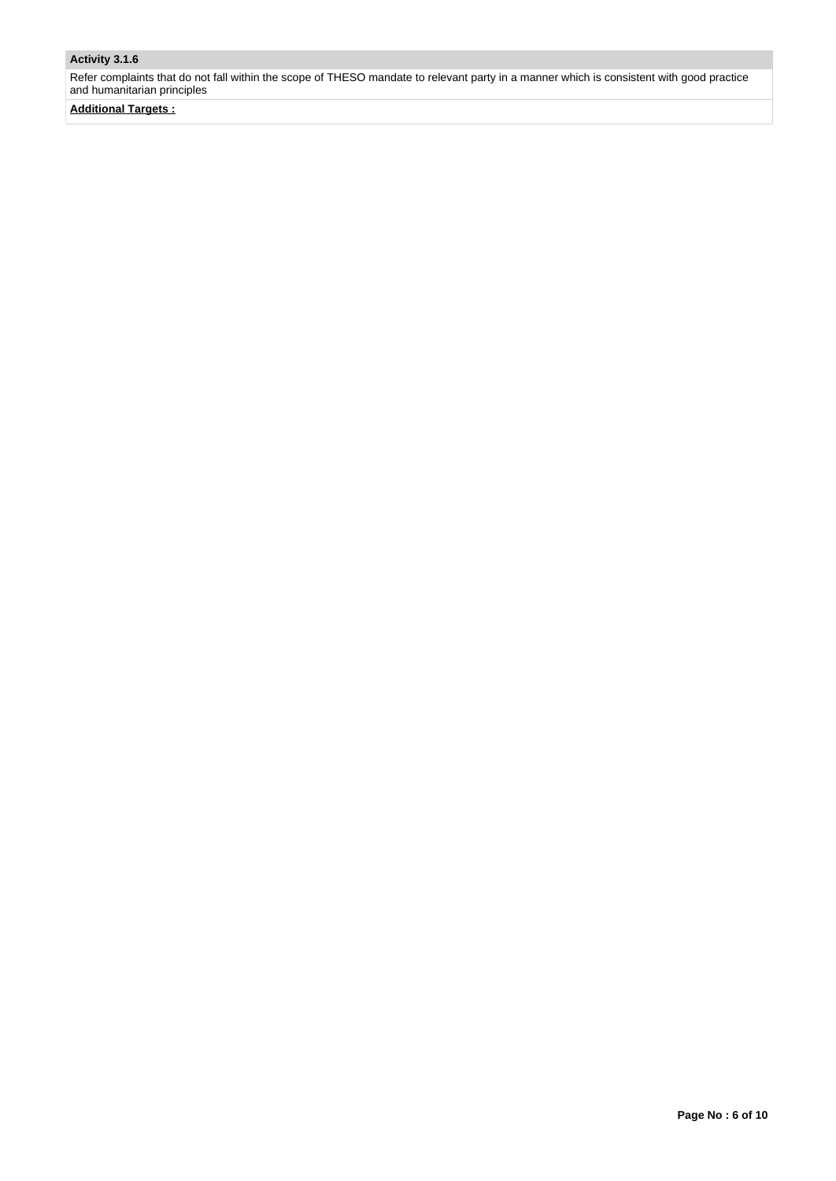# **Activity 3.1.6**

Refer complaints that do not fall within the scope of THESO mandate to relevant party in a manner which is consistent with good practice and humanitarian principles

**Additional Targets :**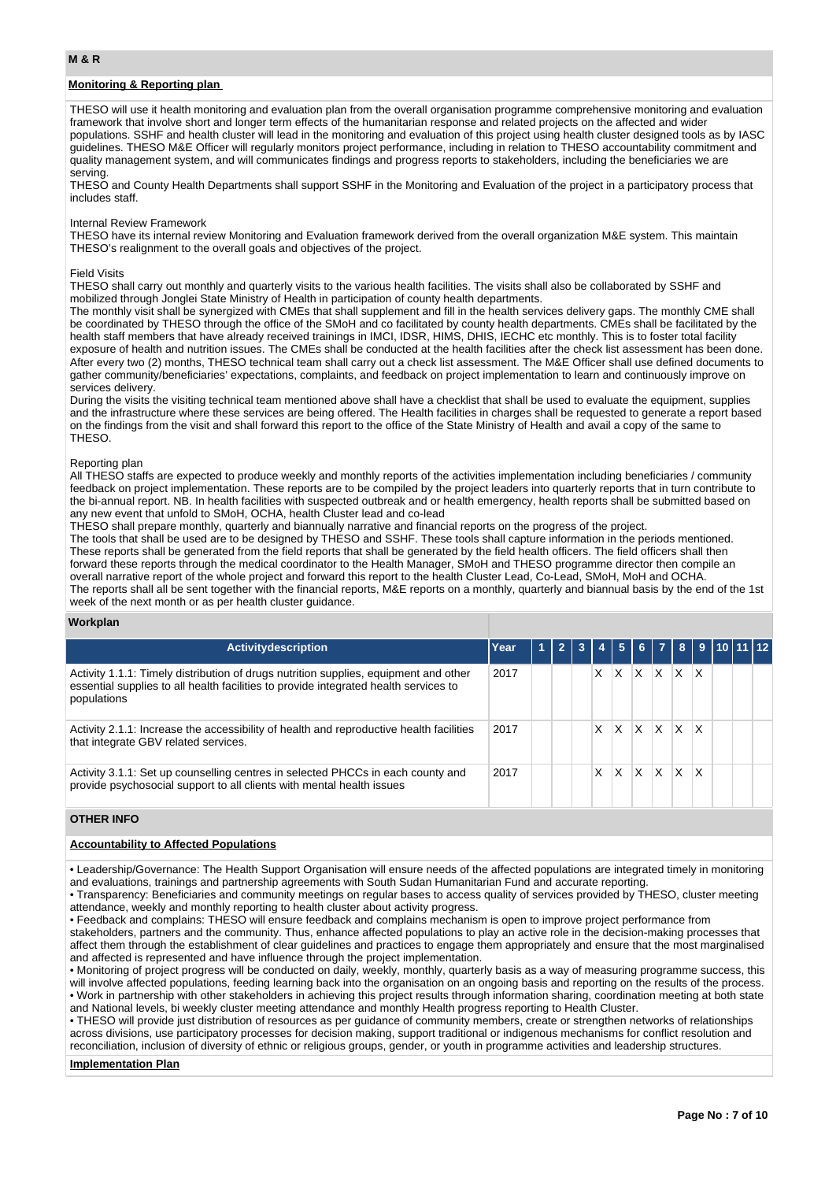# **Monitoring & Reporting plan**

THESO will use it health monitoring and evaluation plan from the overall organisation programme comprehensive monitoring and evaluation framework that involve short and longer term effects of the humanitarian response and related projects on the affected and wider populations. SSHF and health cluster will lead in the monitoring and evaluation of this project using health cluster designed tools as by IASC guidelines. THESO M&E Officer will regularly monitors project performance, including in relation to THESO accountability commitment and quality management system, and will communicates findings and progress reports to stakeholders, including the beneficiaries we are serving.

THESO and County Health Departments shall support SSHF in the Monitoring and Evaluation of the project in a participatory process that includes staff.

#### Internal Review Framework

THESO have its internal review Monitoring and Evaluation framework derived from the overall organization M&E system. This maintain THESO's realignment to the overall goals and objectives of the project.

#### Field Visits

THESO shall carry out monthly and quarterly visits to the various health facilities. The visits shall also be collaborated by SSHF and mobilized through Jonglei State Ministry of Health in participation of county health departments.

The monthly visit shall be synergized with CMEs that shall supplement and fill in the health services delivery gaps. The monthly CME shall be coordinated by THESO through the office of the SMoH and co facilitated by county health departments. CMEs shall be facilitated by the health staff members that have already received trainings in IMCI, IDSR, HIMS, DHIS, IECHC etc monthly. This is to foster total facility exposure of health and nutrition issues. The CMEs shall be conducted at the health facilities after the check list assessment has been done. After every two (2) months, THESO technical team shall carry out a check list assessment. The M&E Officer shall use defined documents to gather community/beneficiaries' expectations, complaints, and feedback on project implementation to learn and continuously improve on services delivery.

During the visits the visiting technical team mentioned above shall have a checklist that shall be used to evaluate the equipment, supplies and the infrastructure where these services are being offered. The Health facilities in charges shall be requested to generate a report based on the findings from the visit and shall forward this report to the office of the State Ministry of Health and avail a copy of the same to **THESO** 

#### Reporting plan

All THESO staffs are expected to produce weekly and monthly reports of the activities implementation including beneficiaries / community feedback on project implementation. These reports are to be compiled by the project leaders into quarterly reports that in turn contribute to the bi-annual report. NB. In health facilities with suspected outbreak and or health emergency, health reports shall be submitted based on any new event that unfold to SMoH, OCHA, health Cluster lead and co-lead

THESO shall prepare monthly, quarterly and biannually narrative and financial reports on the progress of the project. The tools that shall be used are to be designed by THESO and SSHF. These tools shall capture information in the periods mentioned. These reports shall be generated from the field reports that shall be generated by the field health officers. The field officers shall then forward these reports through the medical coordinator to the Health Manager, SMoH and THESO programme director then compile an overall narrative report of the whole project and forward this report to the health Cluster Lead, Co-Lead, SMoH, MoH and OCHA. The reports shall all be sent together with the financial reports, M&E reports on a monthly, quarterly and biannual basis by the end of the 1st week of the next month or as per health cluster guidance.

#### **Workplan**

| <b>Activitydescription</b>                                                                                                                                                                  | Year | $\overline{2}$ | $\mathbf{3}$ |   | 5 <sub>1</sub> |              | $6$ $7$ $1$ |          | 89101112     |  |  |
|---------------------------------------------------------------------------------------------------------------------------------------------------------------------------------------------|------|----------------|--------------|---|----------------|--------------|-------------|----------|--------------|--|--|
| Activity 1.1.1: Timely distribution of drugs nutrition supplies, equipment and other<br>essential supplies to all health facilities to provide integrated health services to<br>populations | 2017 |                |              | X | X              | X            | X           | X.       | ΙX           |  |  |
| Activity 2.1.1: Increase the accessibility of health and reproductive health facilities<br>that integrate GBV related services.                                                             | 2017 |                |              | x | X              | <sup>X</sup> | <u> x  </u> | <b>X</b> | $\mathsf{X}$ |  |  |
| Activity 3.1.1: Set up counselling centres in selected PHCCs in each county and<br>provide psychosocial support to all clients with mental health issues                                    | 2017 |                |              | X | X              | X            | ΙX.         | <b>X</b> | $\mathsf{x}$ |  |  |

### **OTHER INFO**

# **Accountability to Affected Populations**

• Leadership/Governance: The Health Support Organisation will ensure needs of the affected populations are integrated timely in monitoring and evaluations, trainings and partnership agreements with South Sudan Humanitarian Fund and accurate reporting.

• Transparency: Beneficiaries and community meetings on regular bases to access quality of services provided by THESO, cluster meeting attendance, weekly and monthly reporting to health cluster about activity progress.

• Feedback and complains: THESO will ensure feedback and complains mechanism is open to improve project performance from

stakeholders, partners and the community. Thus, enhance affected populations to play an active role in the decision-making processes that affect them through the establishment of clear guidelines and practices to engage them appropriately and ensure that the most marginalised and affected is represented and have influence through the project implementation.

• Monitoring of project progress will be conducted on daily, weekly, monthly, quarterly basis as a way of measuring programme success, this will involve affected populations, feeding learning back into the organisation on an ongoing basis and reporting on the results of the process. • Work in partnership with other stakeholders in achieving this project results through information sharing, coordination meeting at both state and National levels, bi weekly cluster meeting attendance and monthly Health progress reporting to Health Cluster.

• THESO will provide just distribution of resources as per guidance of community members, create or strengthen networks of relationships across divisions, use participatory processes for decision making, support traditional or indigenous mechanisms for conflict resolution and reconciliation, inclusion of diversity of ethnic or religious groups, gender, or youth in programme activities and leadership structures.

#### **Implementation Plan**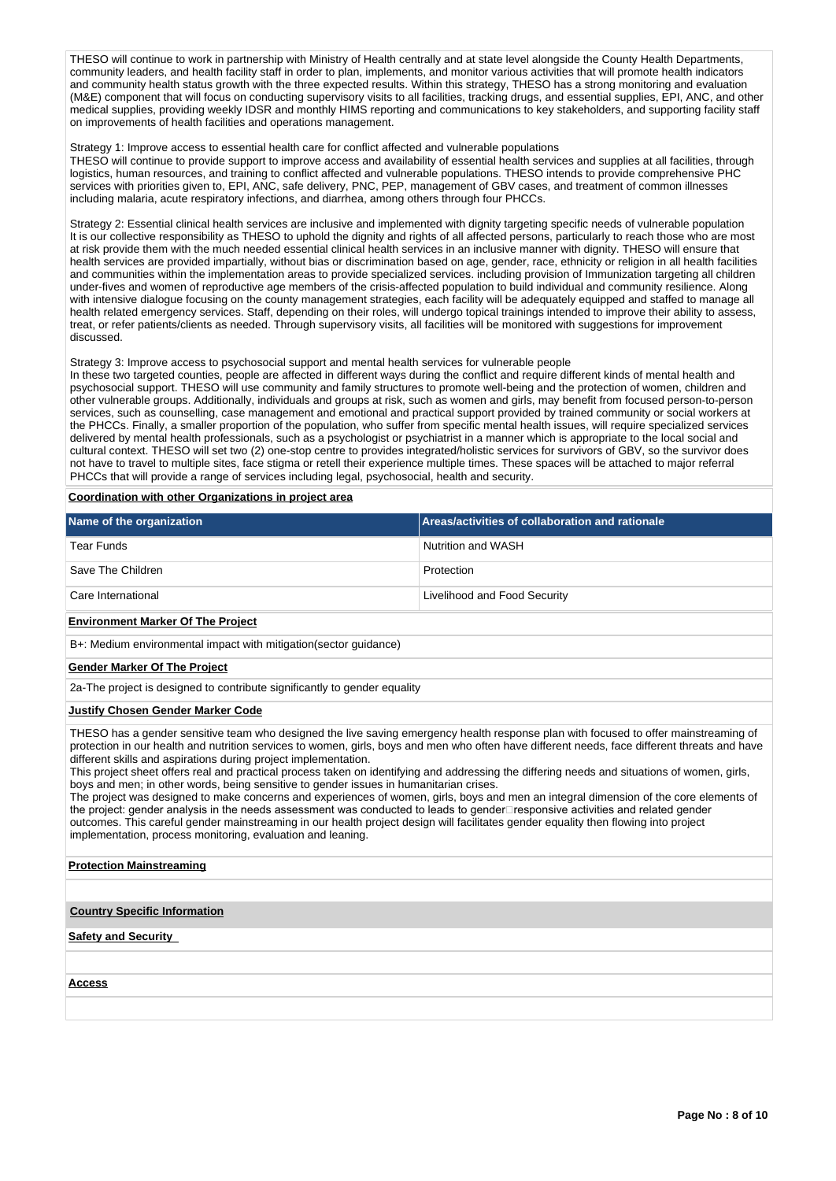THESO will continue to work in partnership with Ministry of Health centrally and at state level alongside the County Health Departments, community leaders, and health facility staff in order to plan, implements, and monitor various activities that will promote health indicators and community health status growth with the three expected results. Within this strategy, THESO has a strong monitoring and evaluation (M&E) component that will focus on conducting supervisory visits to all facilities, tracking drugs, and essential supplies, EPI, ANC, and other medical supplies, providing weekly IDSR and monthly HIMS reporting and communications to key stakeholders, and supporting facility staff on improvements of health facilities and operations management.

#### Strategy 1: Improve access to essential health care for conflict affected and vulnerable populations

THESO will continue to provide support to improve access and availability of essential health services and supplies at all facilities, through logistics, human resources, and training to conflict affected and vulnerable populations. THESO intends to provide comprehensive PHC services with priorities given to, EPI, ANC, safe delivery, PNC, PEP, management of GBV cases, and treatment of common illnesses including malaria, acute respiratory infections, and diarrhea, among others through four PHCCs.

Strategy 2: Essential clinical health services are inclusive and implemented with dignity targeting specific needs of vulnerable population It is our collective responsibility as THESO to uphold the dignity and rights of all affected persons, particularly to reach those who are most at risk provide them with the much needed essential clinical health services in an inclusive manner with dignity. THESO will ensure that health services are provided impartially, without bias or discrimination based on age, gender, race, ethnicity or religion in all health facilities and communities within the implementation areas to provide specialized services. including provision of Immunization targeting all children under-fives and women of reproductive age members of the crisis-affected population to build individual and community resilience. Along with intensive dialogue focusing on the county management strategies, each facility will be adequately equipped and staffed to manage all health related emergency services. Staff, depending on their roles, will undergo topical trainings intended to improve their ability to assess, treat, or refer patients/clients as needed. Through supervisory visits, all facilities will be monitored with suggestions for improvement discussed.

#### Strategy 3: Improve access to psychosocial support and mental health services for vulnerable people

In these two targeted counties, people are affected in different ways during the conflict and require different kinds of mental health and psychosocial support. THESO will use community and family structures to promote well-being and the protection of women, children and other vulnerable groups. Additionally, individuals and groups at risk, such as women and girls, may benefit from focused person-to-person services, such as counselling, case management and emotional and practical support provided by trained community or social workers at the PHCCs. Finally, a smaller proportion of the population, who suffer from specific mental health issues, will require specialized services delivered by mental health professionals, such as a psychologist or psychiatrist in a manner which is appropriate to the local social and cultural context. THESO will set two (2) one-stop centre to provides integrated/holistic services for survivors of GBV, so the survivor does not have to travel to multiple sites, face stigma or retell their experience multiple times. These spaces will be attached to major referral PHCCs that will provide a range of services including legal, psychosocial, health and security.

# **Coordination with other Organizations in project area**

| Name of the organization                                          | <b>Areas/activities of collaboration and rationale</b> |
|-------------------------------------------------------------------|--------------------------------------------------------|
| Tear Funds                                                        | Nutrition and WASH                                     |
| Save The Children                                                 | Protection                                             |
| Care International                                                | Livelihood and Food Security                           |
| <b>Environment Marker Of The Project</b>                          |                                                        |
| B+: Medium environmental impact with mitigation (sector guidance) |                                                        |

#### **Gender Marker Of The Project**

2a-The project is designed to contribute significantly to gender equality

#### **Justify Chosen Gender Marker Code**

THESO has a gender sensitive team who designed the live saving emergency health response plan with focused to offer mainstreaming of protection in our health and nutrition services to women, girls, boys and men who often have different needs, face different threats and have different skills and aspirations during project implementation.

This project sheet offers real and practical process taken on identifying and addressing the differing needs and situations of women, girls, boys and men; in other words, being sensitive to gender issues in humanitarian crises.

The project was designed to make concerns and experiences of women, girls, boys and men an integral dimension of the core elements of the project: gender analysis in the needs assessment was conducted to leads to gender⊡responsive activities and related gender outcomes. This careful gender mainstreaming in our health project design will facilitates gender equality then flowing into project implementation, process monitoring, evaluation and leaning.

### **Protection Mainstreaming**

**Country Specific Information**

### **Safety and Security**

**Access**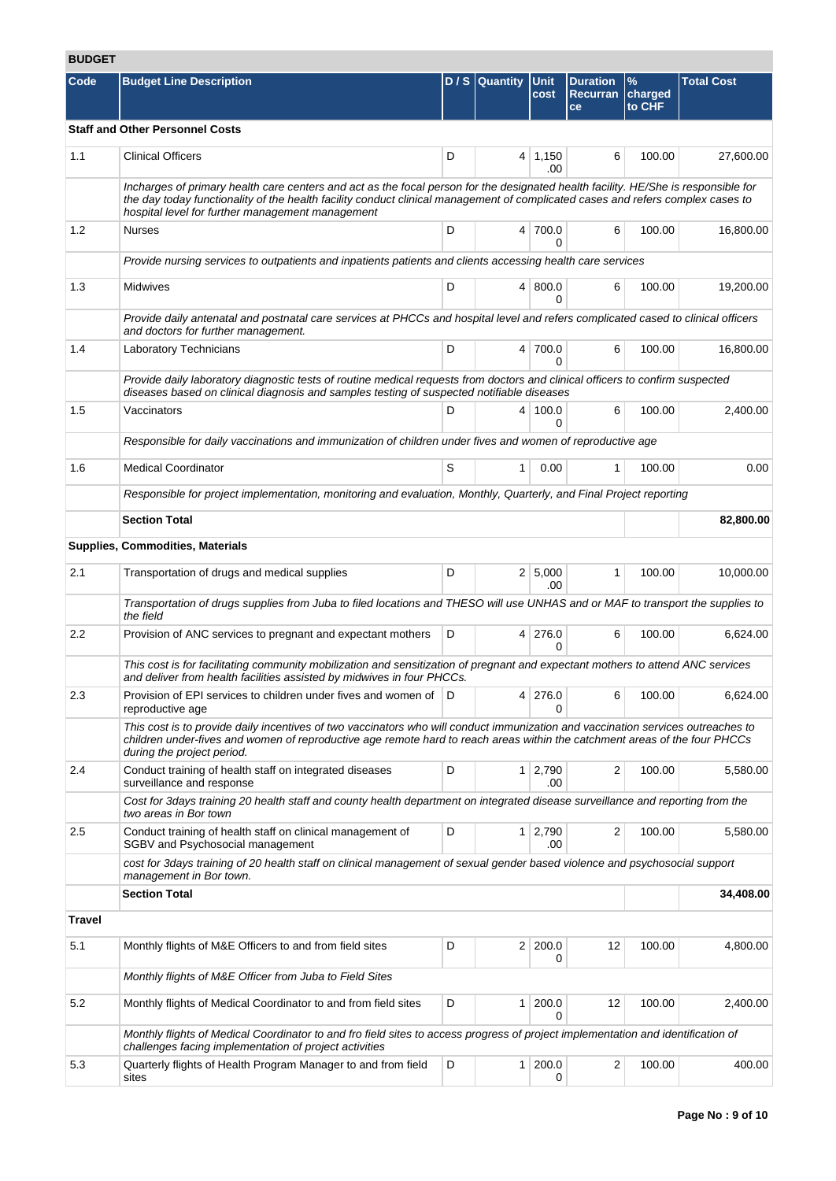# **BUDGET**

| DUVGEI |                                                                                                                                                                                                                                                                                                                           |   |                  |                       |                                          |                                    |                   |
|--------|---------------------------------------------------------------------------------------------------------------------------------------------------------------------------------------------------------------------------------------------------------------------------------------------------------------------------|---|------------------|-----------------------|------------------------------------------|------------------------------------|-------------------|
| Code   | <b>Budget Line Description</b>                                                                                                                                                                                                                                                                                            |   | $D / S$ Quantity | Unit<br>cost          | <b>Duration</b><br><b>Recurran</b><br>ce | $\frac{9}{6}$<br>charged<br>to CHF | <b>Total Cost</b> |
|        | <b>Staff and Other Personnel Costs</b>                                                                                                                                                                                                                                                                                    |   |                  |                       |                                          |                                    |                   |
| 1.1    | <b>Clinical Officers</b>                                                                                                                                                                                                                                                                                                  | D |                  | $4 \mid 1,150$<br>.00 | 6                                        | 100.00                             | 27,600.00         |
|        | Incharges of primary health care centers and act as the focal person for the designated health facility. HE/She is responsible for<br>the day today functionality of the health facility conduct clinical management of complicated cases and refers complex cases to<br>hospital level for further management management |   |                  |                       |                                          |                                    |                   |
| 1.2    | <b>Nurses</b>                                                                                                                                                                                                                                                                                                             | D |                  | 4 700.0<br>0          | 6                                        | 100.00                             | 16,800.00         |
|        | Provide nursing services to outpatients and inpatients patients and clients accessing health care services                                                                                                                                                                                                                |   |                  |                       |                                          |                                    |                   |
| 1.3    | <b>Midwives</b>                                                                                                                                                                                                                                                                                                           | D |                  | 4   800.0<br>0        | 6                                        | 100.00                             | 19,200.00         |
|        | Provide daily antenatal and postnatal care services at PHCCs and hospital level and refers complicated cased to clinical officers<br>and doctors for further management.                                                                                                                                                  |   |                  |                       |                                          |                                    |                   |
| 1.4    | Laboratory Technicians                                                                                                                                                                                                                                                                                                    | D |                  | 4 700.0<br>$\Omega$   | 6                                        | 100.00                             | 16,800.00         |
|        | Provide daily laboratory diagnostic tests of routine medical requests from doctors and clinical officers to confirm suspected<br>diseases based on clinical diagnosis and samples testing of suspected notifiable diseases                                                                                                |   |                  |                       |                                          |                                    |                   |
| 1.5    | Vaccinators                                                                                                                                                                                                                                                                                                               | D |                  | 4 100.0<br>0          | 6                                        | 100.00                             | 2.400.00          |
|        | Responsible for daily vaccinations and immunization of children under fives and women of reproductive age                                                                                                                                                                                                                 |   |                  |                       |                                          |                                    |                   |
| 1.6    | <b>Medical Coordinator</b>                                                                                                                                                                                                                                                                                                | S | 1                | 0.00                  | 1                                        | 100.00                             | 0.00              |
|        | Responsible for project implementation, monitoring and evaluation, Monthly, Quarterly, and Final Project reporting                                                                                                                                                                                                        |   |                  |                       |                                          |                                    |                   |
|        | <b>Section Total</b>                                                                                                                                                                                                                                                                                                      |   |                  |                       |                                          |                                    | 82,800.00         |
|        | <b>Supplies, Commodities, Materials</b>                                                                                                                                                                                                                                                                                   |   |                  |                       |                                          |                                    |                   |
| 2.1    | Transportation of drugs and medical supplies                                                                                                                                                                                                                                                                              | D |                  | 2 5,000<br>.00        | $\mathbf{1}$                             | 100.00                             | 10,000.00         |
|        | Transportation of drugs supplies from Juba to filed locations and THESO will use UNHAS and or MAF to transport the supplies to<br>the field                                                                                                                                                                               |   |                  |                       |                                          |                                    |                   |
| 2.2    | Provision of ANC services to pregnant and expectant mothers                                                                                                                                                                                                                                                               | D |                  | 4 276.0<br>0          | 6                                        | 100.00                             | 6,624.00          |
|        | This cost is for facilitating community mobilization and sensitization of pregnant and expectant mothers to attend ANC services<br>and deliver from health facilities assisted by midwives in four PHCCs.                                                                                                                 |   |                  |                       |                                          |                                    |                   |
| 2.3    | Provision of EPI services to children under fives and women of   D<br>reproductive age                                                                                                                                                                                                                                    |   |                  | 4 276.0<br>0          | 6                                        | 100.00                             | 6,624.00          |
|        | This cost is to provide daily incentives of two vaccinators who will conduct immunization and vaccination services outreaches to<br>children under-fives and women of reproductive age remote hard to reach areas within the catchment areas of the four PHCCs<br>during the project period.                              |   |                  |                       |                                          |                                    |                   |
| 2.4    | Conduct training of health staff on integrated diseases<br>surveillance and response                                                                                                                                                                                                                                      | D |                  | $1 \mid 2,790$<br>.00 | 2                                        | 100.00                             | 5,580.00          |
|        | Cost for 3days training 20 health staff and county health department on integrated disease surveillance and reporting from the<br>two areas in Bor town                                                                                                                                                                   |   |                  |                       |                                          |                                    |                   |
| 2.5    | Conduct training of health staff on clinical management of<br>SGBV and Psychosocial management                                                                                                                                                                                                                            | D |                  | $1 \mid 2,790$<br>.00 | $\overline{2}$                           | 100.00                             | 5,580.00          |
|        | cost for 3days training of 20 health staff on clinical management of sexual gender based violence and psychosocial support<br>management in Bor town.                                                                                                                                                                     |   |                  |                       |                                          |                                    |                   |
|        | <b>Section Total</b>                                                                                                                                                                                                                                                                                                      |   |                  |                       |                                          |                                    | 34,408.00         |
| Travel |                                                                                                                                                                                                                                                                                                                           |   |                  |                       |                                          |                                    |                   |
| 5.1    | Monthly flights of M&E Officers to and from field sites                                                                                                                                                                                                                                                                   | D |                  | 2 200.0<br>0          | 12                                       | 100.00                             | 4,800.00          |
|        | Monthly flights of M&E Officer from Juba to Field Sites                                                                                                                                                                                                                                                                   |   |                  |                       |                                          |                                    |                   |
| 5.2    | Monthly flights of Medical Coordinator to and from field sites                                                                                                                                                                                                                                                            | D | 1 <sup>1</sup>   | 200.0<br>0            | 12                                       | 100.00                             | 2,400.00          |
|        | Monthly flights of Medical Coordinator to and fro field sites to access progress of project implementation and identification of<br>challenges facing implementation of project activities                                                                                                                                |   |                  |                       |                                          |                                    |                   |
| 5.3    | Quarterly flights of Health Program Manager to and from field<br>sites                                                                                                                                                                                                                                                    | D |                  | 1 200.0<br>0          | 2                                        | 100.00                             | 400.00            |